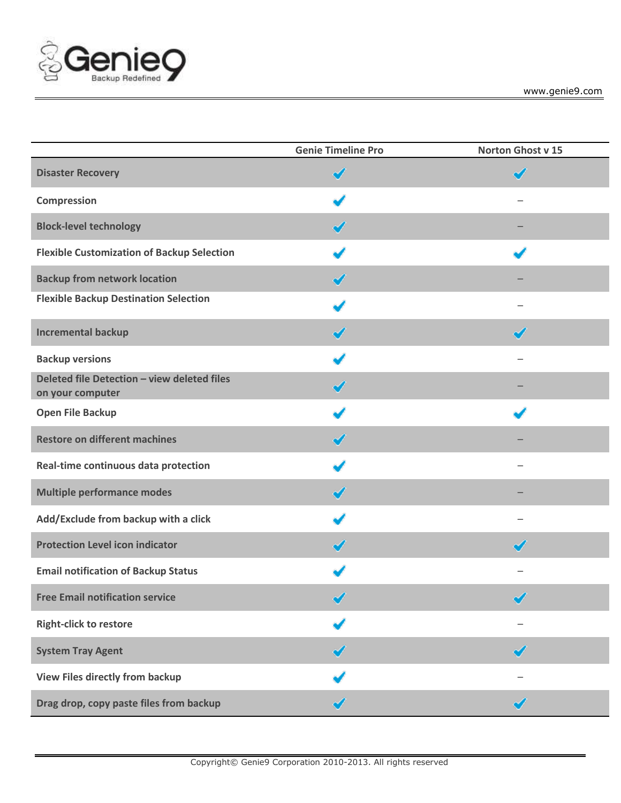

|                                                                 | <b>Genie Timeline Pro</b> | Norton Ghost v 15     |
|-----------------------------------------------------------------|---------------------------|-----------------------|
| <b>Disaster Recovery</b>                                        | ✔                         | $\tilde{\phantom{a}}$ |
| Compression                                                     |                           |                       |
| <b>Block-level technology</b>                                   | ✔                         |                       |
| <b>Flexible Customization of Backup Selection</b>               |                           |                       |
| <b>Backup from network location</b>                             | ✔                         |                       |
| <b>Flexible Backup Destination Selection</b>                    |                           |                       |
| <b>Incremental backup</b>                                       |                           | ✔                     |
| <b>Backup versions</b>                                          |                           |                       |
| Deleted file Detection - view deleted files<br>on your computer | ✔                         |                       |
| <b>Open File Backup</b>                                         |                           |                       |
| <b>Restore on different machines</b>                            | ✔                         |                       |
| Real-time continuous data protection                            |                           |                       |
| <b>Multiple performance modes</b>                               | ✔                         |                       |
| Add/Exclude from backup with a click                            |                           |                       |
| <b>Protection Level icon indicator</b>                          | ✔                         | ✔                     |
| <b>Email notification of Backup Status</b>                      |                           |                       |
| <b>Free Email notification service</b>                          | v                         | ↗<br>$\sim$           |
| <b>Right-click to restore</b>                                   |                           |                       |
| <b>System Tray Agent</b>                                        |                           | ✔                     |
| <b>View Files directly from backup</b>                          |                           |                       |
| Drag drop, copy paste files from backup                         | ✔                         | ✔                     |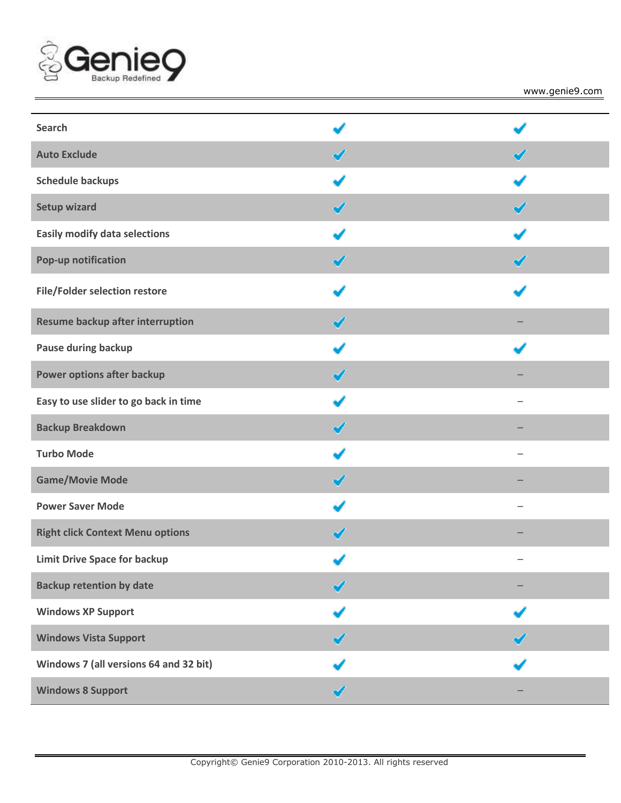

www.genie9.com

| <b>Search</b>                           |   |   |
|-----------------------------------------|---|---|
| <b>Auto Exclude</b>                     |   |   |
| <b>Schedule backups</b>                 |   |   |
| <b>Setup wizard</b>                     | ✔ | ✔ |
| <b>Easily modify data selections</b>    |   |   |
| Pop-up notification                     |   |   |
| File/Folder selection restore           |   |   |
| Resume backup after interruption        |   |   |
| Pause during backup                     |   |   |
| Power options after backup              | ◢ |   |
| Easy to use slider to go back in time   |   |   |
| <b>Backup Breakdown</b>                 | ✔ |   |
| <b>Turbo Mode</b>                       |   | — |
| <b>Game/Movie Mode</b>                  |   |   |
| <b>Power Saver Mode</b>                 |   |   |
| <b>Right click Context Menu options</b> |   |   |
| <b>Limit Drive Space for backup</b>     |   |   |
| <b>Backup retention by date</b>         |   |   |
| <b>Windows XP Support</b>               |   |   |
| <b>Windows Vista Support</b>            |   |   |
| Windows 7 (all versions 64 and 32 bit)  |   |   |
| <b>Windows 8 Support</b>                |   |   |